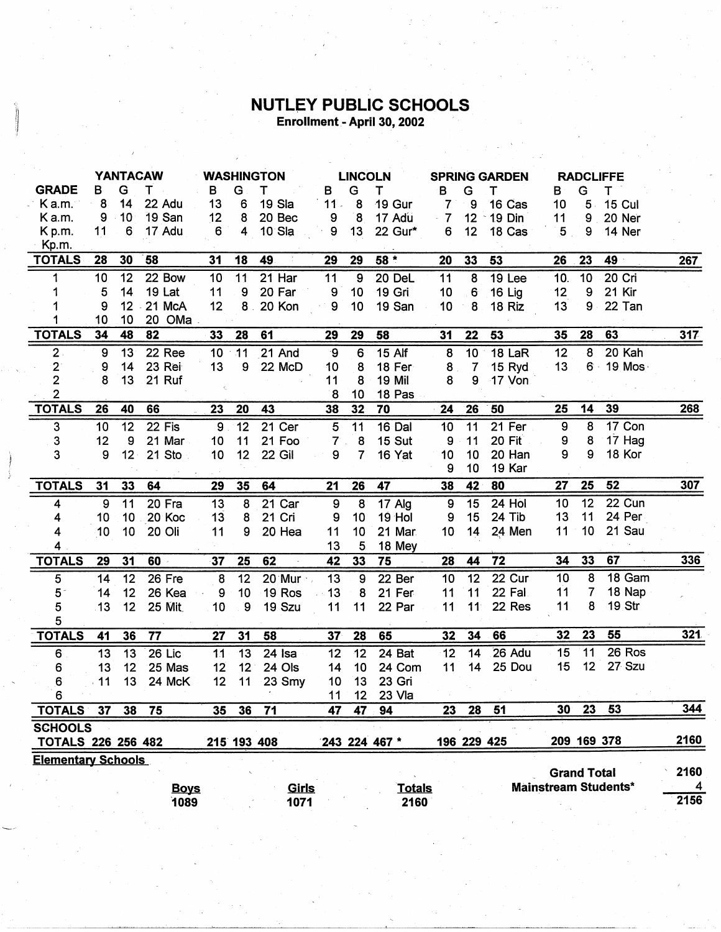## **NUTLEY PUBLIC SCHOOLS**<br>Enrollment - April 30, 2002

|                           | <b>YANTACAW</b> |        | <b>WASHINGTON</b> |                  |                 | <b>LINCOLN</b>   |                  |                 | <b>SPRING GARDEN</b> |                 |                | <b>RADCLIFFE</b> |                  |                    |                             |      |
|---------------------------|-----------------|--------|-------------------|------------------|-----------------|------------------|------------------|-----------------|----------------------|-----------------|----------------|------------------|------------------|--------------------|-----------------------------|------|
| <b>GRADE</b>              | B               | G      | т                 | В                | G               | т                | В                | G               | т                    | В               | G              | т                | в                | G                  | т                           |      |
| Ka.m.                     | 8               | 14     | 22 Adu            | 13               | 6               | 19 Sla           | $11 -$           | 8               | 19 Gur               | $\overline{7}$  | 9              | 16 Cas           | 10               | $5 -$              | <b>15 Cul</b>               |      |
| Ka.m.                     | 9               | 10     | 19 San            | 12               | 8               | 20 Bec           | 9                | ່ 8             | 17 Adu               | $-7$            | 12             | 19 Din           | 11               | 9                  | 20 Ner                      |      |
| K p.m.                    | 11              | 6      | 17 Adu            | 6                | 4               | $10$ Sla         | 9                | 13              | 22 Gur*              | 6               | 12             | 18 Cas           | 5 <sub>1</sub>   | 9                  | 14 Ner                      |      |
| Kp.m.                     |                 |        |                   |                  |                 |                  |                  |                 |                      |                 |                |                  |                  |                    |                             |      |
| <b>TOTALS</b>             | 28              | 30     | 58                | 31               | 18              | 49               | 29               | 29              | $58*$                | 20              | 33             | 53               | 26               | 23                 | 49                          | 267  |
| 1                         | 10              | 12     | 22 Bow            | 10               | $\overline{11}$ | $21$ Har         | $\overline{11}$  | $\overline{9}$  | 20 DeL               | $\overline{11}$ | $\overline{8}$ | 19 Lee           | 10.              | $\overline{10}$    | $20$ Cri                    |      |
| 1                         | 5               | 14     | <b>19 Lat</b>     | 11               | 9               | 20 Far           | 9                | 10              | 19 Gri               | 10              | 6              | <b>16 Lig</b>    | 12               | 9                  | 21 Kir                      |      |
|                           | 9               | 12     | 21 McA            | 12               | 8 <sub>1</sub>  | 20 Kon           | $\boldsymbol{9}$ | 10              | 19 San               | 10              | 8              | 18 Riz           | 13               | 9                  | 22 Tan                      |      |
|                           | 10              | 10     | 20 OMa .          |                  |                 |                  |                  |                 |                      |                 |                |                  |                  |                    |                             |      |
| <b>TOTALS</b>             | 34              | 48     | 82                | 33               | 28              | 61               | 29               | 29              | 58                   | 31              | 22             | 53               | 35               | 28                 | 63                          | 317  |
| 2.                        | 9               | 13     | 22 Ree            | 10 <sup>°</sup>  | 11              | 21 And           | ୍ର               | $6\phantom{a}$  | <b>15 Alf</b>        | 8               | 10             | 18 LaR           | 12               | 8                  | 20 Kah                      |      |
| $\overline{2}$            | 9               | 14     | 23 Rei            | 13               | 9               | 22 McD           | 10               | 8               | 18 Fer               | 8 <sub>1</sub>  | $\overline{7}$ | 15 Ryd           | 13               |                    | 6 19 Mos                    |      |
| $\overline{2}$            | 8               | 13     | 21 Ruf            |                  |                 |                  | 11               | 8               | <b>19 Mil</b>        | 8               | 9              | 17 Von           |                  |                    |                             |      |
| 2                         |                 |        |                   |                  |                 |                  | 8                | 10              | 18 Pas               |                 |                |                  |                  |                    |                             |      |
| <b>TOTALS</b>             | 26              | 40     | 66                | 23               | 20              | 43               | 38               | 32              | 70                   | 24              | 26             | 50               | 25               | 14                 | 39                          | 268  |
| 3                         | 10              | 12     | 22 Fis            | $\boldsymbol{9}$ | 12              | 21 Cer           | 5                | 11              | 16 Dal               | 10              | 11             | 21 Fer           | $\boldsymbol{9}$ | 8                  | 17 Con                      |      |
| 3                         | 12              | 9      | 21 Mar            | 10               | 11              | 21 Foo           | $7^{\circ}$ .    | 8               | 15 Sut               | 9               | 11             | 20 Fit           | 9                | 8                  | 17 Hag                      |      |
| 3                         | 9               | $12 -$ | 21 Sto            | 10               | 12              | <b>22 Gil</b>    | 9                | 7               | 16 Yat               | 10              | 10             | 20 Han           | 9                | 9                  | 18 Kor                      |      |
|                           |                 |        |                   |                  |                 |                  |                  |                 |                      | 9               | 10             | 19 Kar           |                  |                    |                             |      |
| <b>TOTALS</b>             | 31              | 33     | 64                | 29               | 35              | 64               | 21               | 26              | 47                   | 38              | 42             | 80               | 27               | 25                 | 52                          | 307  |
| 4                         | 9               | 11     | 20 Fra            | 13               | 8               | 21 Car           | 9                | $\bf 8$         | $17$ Alg             | 9               | 15             | 24 Hol           | 10               | $\overline{12}$    | $22$ Cun                    |      |
| 4                         | 10              | 10     | 20 Koc            | 13               | 8               | 21 Cri           | 9                | 10              | 19 Hol               | 9               | 15             | 24 Tib           | 13               | 11                 | 24 Per                      |      |
| 4                         | 10              | 10     | 20 Oli            | 11               | 9               | 20 Hea           | 11               | 10              | 21 Mar               | 10              | 14             | 24 Men           | 11               | 10                 | 21 Sau                      |      |
| 4                         |                 |        |                   |                  |                 |                  | 13               | 5               | 18 Mey               |                 |                |                  |                  |                    |                             |      |
| <b>TOTALS</b>             | 29              | 31     | 60                | 37               | 25              | 62               | 42               | 33              | 75                   | 28              | 44             | $\overline{72}$  | 34               | 33                 | 67                          | 336  |
| 5                         | 14              | 12     | $26$ Fre          | $\boldsymbol{8}$ | 12              | $20$ Mur $\cdot$ | 13               | 9               | 22 Ber               | 10              | 12             | 22 Cur           | 10 <sub>1</sub>  | 8                  | 18 Gam                      |      |
| 5 <sup>2</sup>            | 14              | 12     | 26 Kea            | 9                | 10              | 19 Ros           | 13               | 8               | 21 Fer               | 11              | 11             | 22 Fal           | 11               | 7                  | 18 Nap                      |      |
| 5                         | 13              | 12     | <b>25 Mit</b>     | 10               | $\overline{9}$  | 19 Szu           | 11               | 11              | 22 Par               | 11              | 11             | 22 Res           | 11               | 8                  | 19.Str                      |      |
| 5                         |                 |        |                   |                  |                 |                  |                  |                 |                      |                 |                |                  |                  |                    |                             |      |
| <b>TOTALS</b>             | 41              | 36     | 77                | 27               | 31              | 58               | 37               | 28              | 65                   | 32              | 34             | 66               | 32               | 23                 | 55                          | 321  |
| 6                         | 13              | 13     | $26$ Lic          | 11               | 13              | 24 Isa           | 12               | 12              | 24 Bat               | 12              | 14             | 26 Adu           | 15               | 11                 | 26 Ros                      |      |
| 6                         | 13              | 12     | 25 Mas            | 12               | 12              | 24 Ols           | 14               | 10              | 24 Com               | 11              | 14             | 25 Dou           | 15               | 12                 | 27 Szu                      |      |
| 6                         | 11              | 13     | 24 McK            | 12               | 11              | 23 Smy           | 10               | 13              | 23 Gri               |                 |                |                  |                  |                    |                             |      |
| 6                         |                 |        |                   |                  |                 |                  | 11               | 12 <sup>°</sup> | 23 Vla               |                 |                |                  |                  |                    |                             |      |
| <b>TOTALS</b>             | 37              | 38     | 75                | 35               | 36              | 71               | 47               | 47              | 94                   | 23              | 28             | 51               | 30               | 23                 | 53                          | 344  |
| <b>SCHOOLS</b>            |                 |        |                   |                  |                 |                  |                  |                 |                      |                 |                |                  |                  |                    |                             |      |
| <b>TOTALS 226 256 482</b> |                 |        |                   |                  |                 | 215 193 408      |                  |                 | 243 224 467 *        |                 | 196 229 425    |                  |                  | 209 169 378        |                             | 2160 |
| <b>Elementary Schools</b> |                 |        |                   |                  |                 |                  |                  |                 |                      |                 |                |                  |                  |                    |                             |      |
|                           |                 |        |                   |                  |                 |                  |                  |                 |                      |                 |                |                  |                  | <b>Grand Total</b> |                             | 2160 |
|                           |                 |        | <b>Boys</b>       |                  |                 | Girls            |                  |                 | <b>Totals</b>        |                 |                |                  |                  |                    | <b>Mainstream Students*</b> | 4    |
|                           |                 |        | 1089              |                  |                 | 1071             |                  |                 | 2160                 |                 |                |                  |                  |                    |                             | 2156 |